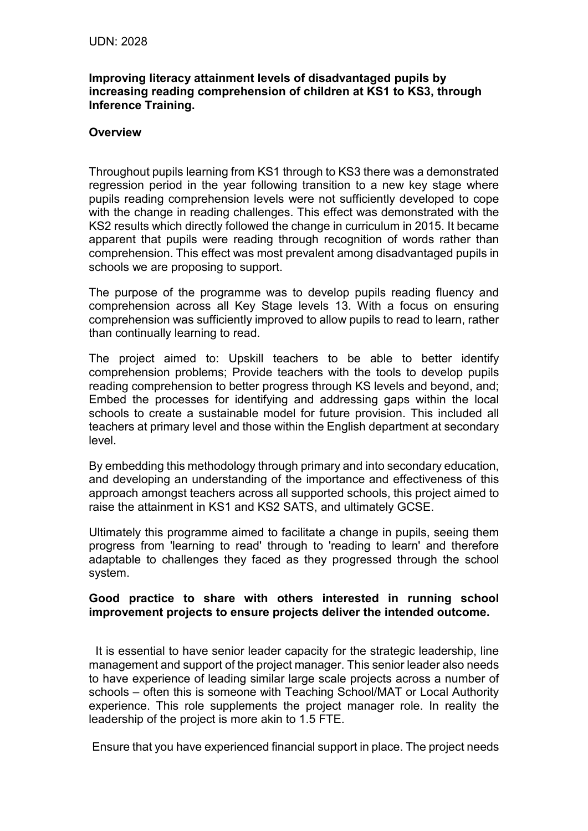## **Improving literacy attainment levels of disadvantaged pupils by increasing reading comprehension of children at KS1 to KS3, through Inference Training.**

## **Overview**

Throughout pupils learning from KS1 through to KS3 there was a demonstrated regression period in the year following transition to a new key stage where pupils reading comprehension levels were not sufficiently developed to cope with the change in reading challenges. This effect was demonstrated with the KS2 results which directly followed the change in curriculum in 2015. It became apparent that pupils were reading through recognition of words rather than comprehension. This effect was most prevalent among disadvantaged pupils in schools we are proposing to support.

The purpose of the programme was to develop pupils reading fluency and comprehension across all Key Stage levels 13. With a focus on ensuring comprehension was sufficiently improved to allow pupils to read to learn, rather than continually learning to read.

The project aimed to: Upskill teachers to be able to better identify comprehension problems; Provide teachers with the tools to develop pupils reading comprehension to better progress through KS levels and beyond, and; Embed the processes for identifying and addressing gaps within the local schools to create a sustainable model for future provision. This included all teachers at primary level and those within the English department at secondary level.

By embedding this methodology through primary and into secondary education, and developing an understanding of the importance and effectiveness of this approach amongst teachers across all supported schools, this project aimed to raise the attainment in KS1 and KS2 SATS, and ultimately GCSE.

Ultimately this programme aimed to facilitate a change in pupils, seeing them progress from 'learning to read' through to 'reading to learn' and therefore adaptable to challenges they faced as they progressed through the school system.

## **Good practice to share with others interested in running school improvement projects to ensure projects deliver the intended outcome.**

It is essential to have senior leader capacity for the strategic leadership, line management and support of the project manager. This senior leader also needs to have experience of leading similar large scale projects across a number of schools – often this is someone with Teaching School/MAT or Local Authority experience. This role supplements the project manager role. In reality the leadership of the project is more akin to 1.5 FTE.

Ensure that you have experienced financial support in place. The project needs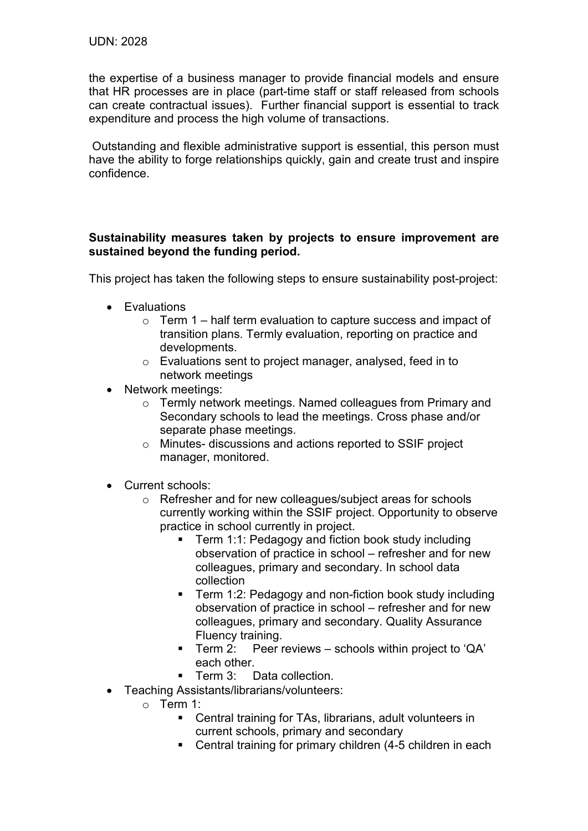the expertise of a business manager to provide financial models and ensure that HR processes are in place (part-time staff or staff released from schools can create contractual issues). Further financial support is essential to track expenditure and process the high volume of transactions.

Outstanding and flexible administrative support is essential, this person must have the ability to forge relationships quickly, gain and create trust and inspire confidence.

## **Sustainability measures taken by projects to ensure improvement are sustained beyond the funding period.**

This project has taken the following steps to ensure sustainability post-project:

- Evaluations
	- $\circ$  Term 1 half term evaluation to capture success and impact of transition plans. Termly evaluation, reporting on practice and developments.
	- o Evaluations sent to project manager, analysed, feed in to network meetings
- Network meetings:
	- o Termly network meetings. Named colleagues from Primary and Secondary schools to lead the meetings. Cross phase and/or separate phase meetings.
	- o Minutes- discussions and actions reported to SSIF project manager, monitored.
- Current schools:
	- o Refresher and for new colleagues/subject areas for schools currently working within the SSIF project. Opportunity to observe practice in school currently in project.
		- Term 1:1: Pedagogy and fiction book study including observation of practice in school – refresher and for new colleagues, primary and secondary. In school data collection
		- Term 1:2: Pedagogy and non-fiction book study including observation of practice in school – refresher and for new colleagues, primary and secondary. Quality Assurance Fluency training.
		- Term 2: Peer reviews schools within project to 'QA' each other.
		- Term 3: Data collection.
- Teaching Assistants/librarians/volunteers:
	- o Term 1:
		- Central training for TAs, librarians, adult volunteers in current schools, primary and secondary
		- Central training for primary children (4-5 children in each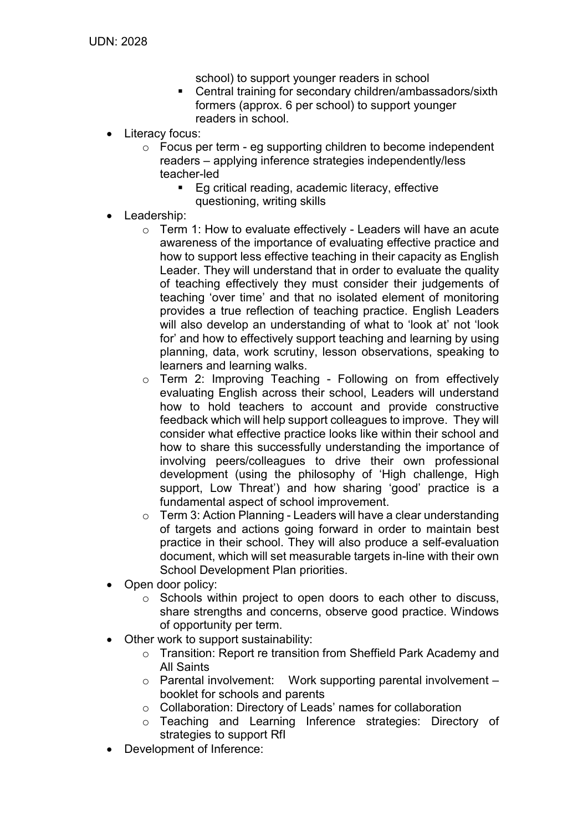school) to support younger readers in school

- **EXECENTEE CENTEE IS CONTERNATE CONTRACT CONTRACTS** formers (approx. 6 per school) to support younger readers in school.
- Literacy focus:
	- $\circ$  Focus per term eg supporting children to become independent readers – applying inference strategies independently/less teacher-led
		- Eg critical reading, academic literacy, effective questioning, writing skills
- Leadership:
	- o Term 1: How to evaluate effectively Leaders will have an acute awareness of the importance of evaluating effective practice and how to support less effective teaching in their capacity as English Leader. They will understand that in order to evaluate the quality of teaching effectively they must consider their judgements of teaching 'over time' and that no isolated element of monitoring provides a true reflection of teaching practice. English Leaders will also develop an understanding of what to 'look at' not 'look for' and how to effectively support teaching and learning by using planning, data, work scrutiny, lesson observations, speaking to learners and learning walks.
	- o Term 2: Improving Teaching Following on from effectively evaluating English across their school, Leaders will understand how to hold teachers to account and provide constructive feedback which will help support colleagues to improve. They will consider what effective practice looks like within their school and how to share this successfully understanding the importance of involving peers/colleagues to drive their own professional development (using the philosophy of 'High challenge, High support, Low Threat') and how sharing 'good' practice is a fundamental aspect of school improvement.
	- $\circ$  Term 3: Action Planning Leaders will have a clear understanding of targets and actions going forward in order to maintain best practice in their school. They will also produce a self-evaluation document, which will set measurable targets in-line with their own School Development Plan priorities.
- Open door policy:
	- $\circ$  Schools within project to open doors to each other to discuss, share strengths and concerns, observe good practice. Windows of opportunity per term.
- Other work to support sustainability:
	- o Transition: Report re transition from Sheffield Park Academy and All Saints
	- $\circ$  Parental involvement: Work supporting parental involvement booklet for schools and parents
	- o Collaboration: Directory of Leads' names for collaboration
	- o Teaching and Learning Inference strategies: Directory of strategies to support RfI
- Development of Inference: